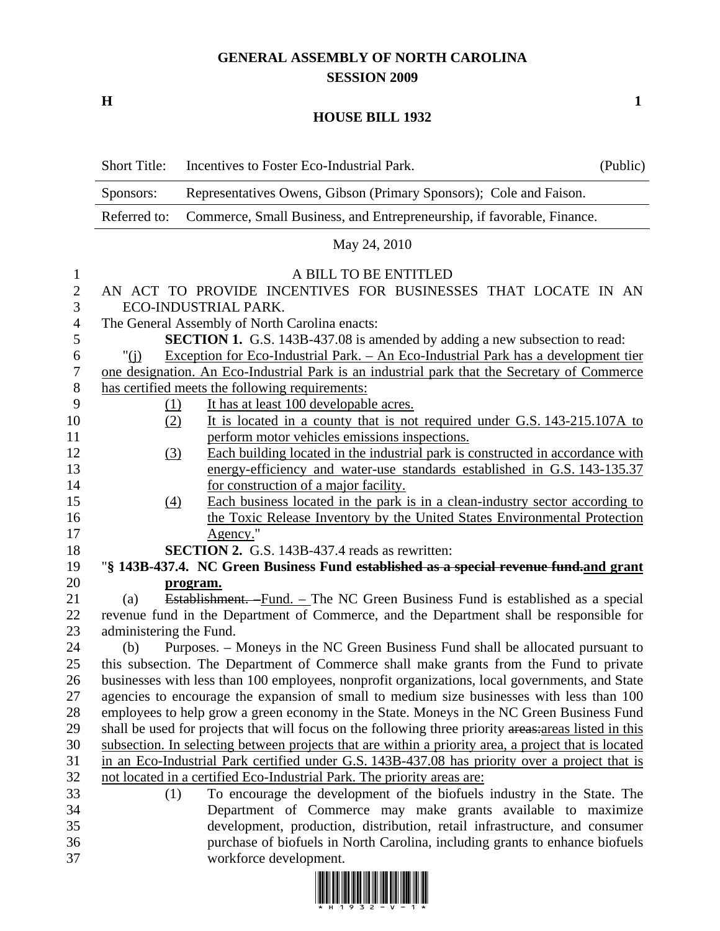## **GENERAL ASSEMBLY OF NORTH CAROLINA SESSION 2009**

**H** 1

## **HOUSE BILL 1932**

|                  | <b>Short Title:</b>                                                                                                | (Public)                                                                                                                                                                                            |  |  |  |  |  |  |
|------------------|--------------------------------------------------------------------------------------------------------------------|-----------------------------------------------------------------------------------------------------------------------------------------------------------------------------------------------------|--|--|--|--|--|--|
|                  | Representatives Owens, Gibson (Primary Sponsors); Cole and Faison.<br>Sponsors:                                    |                                                                                                                                                                                                     |  |  |  |  |  |  |
|                  | Referred to:<br>Commerce, Small Business, and Entrepreneurship, if favorable, Finance.                             |                                                                                                                                                                                                     |  |  |  |  |  |  |
|                  | May 24, 2010                                                                                                       |                                                                                                                                                                                                     |  |  |  |  |  |  |
| $\mathbf{1}$     | A BILL TO BE ENTITLED                                                                                              |                                                                                                                                                                                                     |  |  |  |  |  |  |
| $\mathbf{2}$     |                                                                                                                    | AN ACT TO PROVIDE INCENTIVES FOR BUSINESSES THAT LOCATE IN AN                                                                                                                                       |  |  |  |  |  |  |
| 3                |                                                                                                                    | ECO-INDUSTRIAL PARK.                                                                                                                                                                                |  |  |  |  |  |  |
| $\overline{4}$   |                                                                                                                    | The General Assembly of North Carolina enacts:                                                                                                                                                      |  |  |  |  |  |  |
| 5                |                                                                                                                    | <b>SECTION 1.</b> G.S. 143B-437.08 is amended by adding a new subsection to read:                                                                                                                   |  |  |  |  |  |  |
| 6                | " $(i)$                                                                                                            | Exception for Eco-Industrial Park. – An Eco-Industrial Park has a development tier                                                                                                                  |  |  |  |  |  |  |
| $\boldsymbol{7}$ |                                                                                                                    | one designation. An Eco-Industrial Park is an industrial park that the Secretary of Commerce                                                                                                        |  |  |  |  |  |  |
| $8\,$            |                                                                                                                    | has certified meets the following requirements:                                                                                                                                                     |  |  |  |  |  |  |
| 9                | <u>(1)</u>                                                                                                         | It has at least 100 developable acres.                                                                                                                                                              |  |  |  |  |  |  |
| 10               | (2)                                                                                                                | It is located in a county that is not required under G.S. 143-215.107A to                                                                                                                           |  |  |  |  |  |  |
| 11               |                                                                                                                    | perform motor vehicles emissions inspections.                                                                                                                                                       |  |  |  |  |  |  |
| 12               | (3)                                                                                                                | Each building located in the industrial park is constructed in accordance with                                                                                                                      |  |  |  |  |  |  |
| 13               |                                                                                                                    | energy-efficiency and water-use standards established in G.S. 143-135.37                                                                                                                            |  |  |  |  |  |  |
| 14               |                                                                                                                    | for construction of a major facility.                                                                                                                                                               |  |  |  |  |  |  |
| 15               | $\Delta$                                                                                                           | Each business located in the park is in a clean-industry sector according to                                                                                                                        |  |  |  |  |  |  |
| 16               |                                                                                                                    | the Toxic Release Inventory by the United States Environmental Protection                                                                                                                           |  |  |  |  |  |  |
| 17               |                                                                                                                    | Agency."                                                                                                                                                                                            |  |  |  |  |  |  |
| 18               |                                                                                                                    | <b>SECTION 2.</b> G.S. 143B-437.4 reads as rewritten:                                                                                                                                               |  |  |  |  |  |  |
| 19               |                                                                                                                    | "§ 143B-437.4. NC Green Business Fund established as a special revenue fund and grant                                                                                                               |  |  |  |  |  |  |
| 20               |                                                                                                                    | program.                                                                                                                                                                                            |  |  |  |  |  |  |
| 21               | (a)                                                                                                                | Establishment. Fund. – The NC Green Business Fund is established as a special                                                                                                                       |  |  |  |  |  |  |
| 22<br>23         | revenue fund in the Department of Commerce, and the Department shall be responsible for<br>administering the Fund. |                                                                                                                                                                                                     |  |  |  |  |  |  |
| 24               | (b)                                                                                                                | Purposes. - Moneys in the NC Green Business Fund shall be allocated pursuant to                                                                                                                     |  |  |  |  |  |  |
| 25               |                                                                                                                    | this subsection. The Department of Commerce shall make grants from the Fund to private                                                                                                              |  |  |  |  |  |  |
| 26               |                                                                                                                    | businesses with less than 100 employees, nonprofit organizations, local governments, and State                                                                                                      |  |  |  |  |  |  |
| 27               |                                                                                                                    | agencies to encourage the expansion of small to medium size businesses with less than 100                                                                                                           |  |  |  |  |  |  |
| 28               |                                                                                                                    |                                                                                                                                                                                                     |  |  |  |  |  |  |
| 29               |                                                                                                                    | employees to help grow a green economy in the State. Moneys in the NC Green Business Fund<br>shall be used for projects that will focus on the following three priority areas: areas listed in this |  |  |  |  |  |  |
| 30               |                                                                                                                    | subsection. In selecting between projects that are within a priority area, a project that is located                                                                                                |  |  |  |  |  |  |
| 31               |                                                                                                                    | in an Eco-Industrial Park certified under G.S. 143B-437.08 has priority over a project that is                                                                                                      |  |  |  |  |  |  |
| 32               |                                                                                                                    | not located in a certified Eco-Industrial Park. The priority areas are:                                                                                                                             |  |  |  |  |  |  |
| 33               | (1)                                                                                                                | To encourage the development of the biofuels industry in the State. The                                                                                                                             |  |  |  |  |  |  |
| 34               |                                                                                                                    | Department of Commerce may make grants available to maximize                                                                                                                                        |  |  |  |  |  |  |
| 35               |                                                                                                                    | development, production, distribution, retail infrastructure, and consumer                                                                                                                          |  |  |  |  |  |  |
| 36               |                                                                                                                    | purchase of biofuels in North Carolina, including grants to enhance biofuels                                                                                                                        |  |  |  |  |  |  |
| 37               |                                                                                                                    | workforce development.                                                                                                                                                                              |  |  |  |  |  |  |

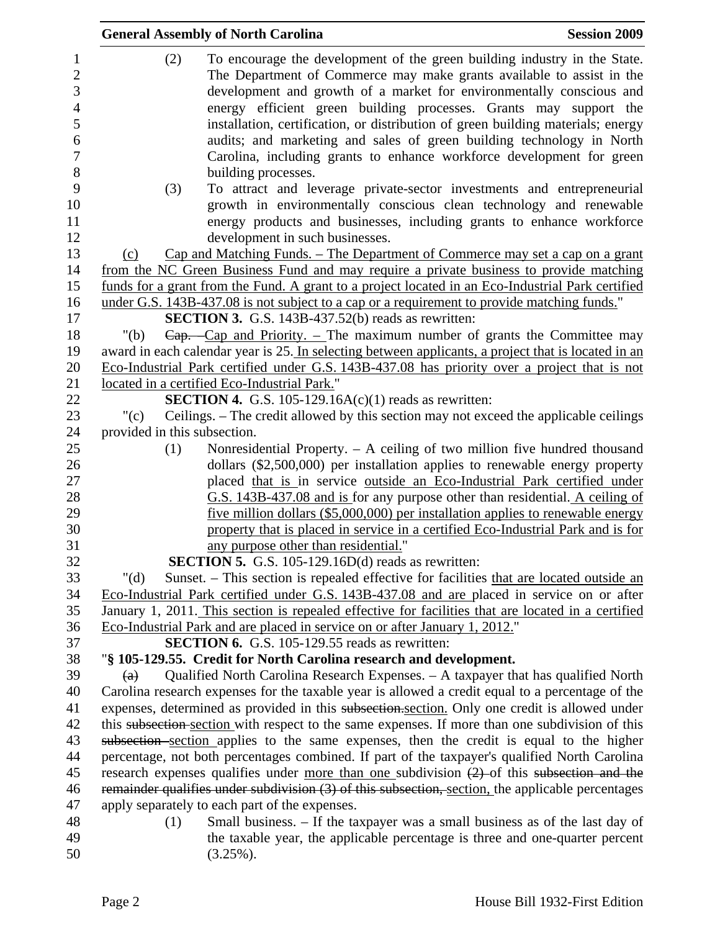|                                                                                        |                              | <b>General Assembly of North Carolina</b>                                                                                                                                                                                                                                                                                                                                                                                                                                                                                                                    | <b>Session 2009</b> |
|----------------------------------------------------------------------------------------|------------------------------|--------------------------------------------------------------------------------------------------------------------------------------------------------------------------------------------------------------------------------------------------------------------------------------------------------------------------------------------------------------------------------------------------------------------------------------------------------------------------------------------------------------------------------------------------------------|---------------------|
| $\mathbf{1}$<br>$\overline{2}$<br>3<br>$\overline{4}$<br>5<br>6<br>$\overline{7}$<br>8 | (2)                          | To encourage the development of the green building industry in the State.<br>The Department of Commerce may make grants available to assist in the<br>development and growth of a market for environmentally conscious and<br>energy efficient green building processes. Grants may support the<br>installation, certification, or distribution of green building materials; energy<br>audits; and marketing and sales of green building technology in North<br>Carolina, including grants to enhance workforce development for green<br>building processes. |                     |
| 9<br>10<br>11<br>12                                                                    | (3)                          | To attract and leverage private-sector investments and entrepreneurial<br>growth in environmentally conscious clean technology and renewable<br>energy products and businesses, including grants to enhance workforce<br>development in such businesses.                                                                                                                                                                                                                                                                                                     |                     |
| 13                                                                                     | (c)                          | Cap and Matching Funds. – The Department of Commerce may set a cap on a grant                                                                                                                                                                                                                                                                                                                                                                                                                                                                                |                     |
| 14                                                                                     |                              | from the NC Green Business Fund and may require a private business to provide matching                                                                                                                                                                                                                                                                                                                                                                                                                                                                       |                     |
| 15                                                                                     |                              | funds for a grant from the Fund. A grant to a project located in an Eco-Industrial Park certified                                                                                                                                                                                                                                                                                                                                                                                                                                                            |                     |
| 16                                                                                     |                              | under G.S. 143B-437.08 is not subject to a cap or a requirement to provide matching funds."                                                                                                                                                                                                                                                                                                                                                                                                                                                                  |                     |
| 17                                                                                     |                              | <b>SECTION 3.</b> G.S. 143B-437.52(b) reads as rewritten:                                                                                                                                                                                                                                                                                                                                                                                                                                                                                                    |                     |
| 18                                                                                     | " $(b)$                      | $Cap.$ Cap and Priority. – The maximum number of grants the Committee may                                                                                                                                                                                                                                                                                                                                                                                                                                                                                    |                     |
| 19                                                                                     |                              | award in each calendar year is 25. In selecting between applicants, a project that is located in an                                                                                                                                                                                                                                                                                                                                                                                                                                                          |                     |
| 20                                                                                     |                              | Eco-Industrial Park certified under G.S. 143B-437.08 has priority over a project that is not                                                                                                                                                                                                                                                                                                                                                                                                                                                                 |                     |
| 21                                                                                     |                              | located in a certified Eco-Industrial Park."                                                                                                                                                                                                                                                                                                                                                                                                                                                                                                                 |                     |
| 22                                                                                     |                              | <b>SECTION 4.</b> G.S. 105-129.16A $(c)(1)$ reads as rewritten:                                                                                                                                                                                                                                                                                                                                                                                                                                                                                              |                     |
| 23                                                                                     | " $(c)$                      | Ceilings. – The credit allowed by this section may not exceed the applicable ceilings                                                                                                                                                                                                                                                                                                                                                                                                                                                                        |                     |
| 24                                                                                     | provided in this subsection. |                                                                                                                                                                                                                                                                                                                                                                                                                                                                                                                                                              |                     |
| 25<br>26<br>27                                                                         | (1)                          | Nonresidential Property. - A ceiling of two million five hundred thousand<br>dollars (\$2,500,000) per installation applies to renewable energy property<br>placed that is in service outside an Eco-Industrial Park certified under                                                                                                                                                                                                                                                                                                                         |                     |
| 28<br>29<br>30                                                                         |                              | G.S. 143B-437.08 and is for any purpose other than residential. A ceiling of<br><u>five million dollars (\$5,000,000) per installation applies to renewable energy</u><br>property that is placed in service in a certified Eco-Industrial Park and is for                                                                                                                                                                                                                                                                                                   |                     |
| 31                                                                                     |                              | any purpose other than residential."                                                                                                                                                                                                                                                                                                                                                                                                                                                                                                                         |                     |
| 32                                                                                     |                              | <b>SECTION 5.</b> G.S. 105-129.16D(d) reads as rewritten:                                                                                                                                                                                                                                                                                                                                                                                                                                                                                                    |                     |
| 33                                                                                     | " $(d)$                      | Sunset. – This section is repealed effective for facilities that are located outside an                                                                                                                                                                                                                                                                                                                                                                                                                                                                      |                     |
| 34                                                                                     |                              | Eco-Industrial Park certified under G.S. 143B-437.08 and are placed in service on or after                                                                                                                                                                                                                                                                                                                                                                                                                                                                   |                     |
| 35                                                                                     |                              | January 1, 2011. This section is repealed effective for facilities that are located in a certified                                                                                                                                                                                                                                                                                                                                                                                                                                                           |                     |
| 36                                                                                     |                              | Eco-Industrial Park and are placed in service on or after January 1, 2012."                                                                                                                                                                                                                                                                                                                                                                                                                                                                                  |                     |
| 37                                                                                     |                              | <b>SECTION 6.</b> G.S. 105-129.55 reads as rewritten:                                                                                                                                                                                                                                                                                                                                                                                                                                                                                                        |                     |
| 38                                                                                     |                              | "§ 105-129.55. Credit for North Carolina research and development.                                                                                                                                                                                                                                                                                                                                                                                                                                                                                           |                     |
| 39                                                                                     | (a)                          | Qualified North Carolina Research Expenses. - A taxpayer that has qualified North                                                                                                                                                                                                                                                                                                                                                                                                                                                                            |                     |
| 40                                                                                     |                              | Carolina research expenses for the taxable year is allowed a credit equal to a percentage of the                                                                                                                                                                                                                                                                                                                                                                                                                                                             |                     |
| 41                                                                                     |                              | expenses, determined as provided in this subsection.section. Only one credit is allowed under                                                                                                                                                                                                                                                                                                                                                                                                                                                                |                     |
| 42                                                                                     |                              | this subsection-section with respect to the same expenses. If more than one subdivision of this                                                                                                                                                                                                                                                                                                                                                                                                                                                              |                     |
| 43                                                                                     |                              | subsection section applies to the same expenses, then the credit is equal to the higher                                                                                                                                                                                                                                                                                                                                                                                                                                                                      |                     |
| 44                                                                                     |                              | percentage, not both percentages combined. If part of the taxpayer's qualified North Carolina                                                                                                                                                                                                                                                                                                                                                                                                                                                                |                     |
| 45                                                                                     |                              | research expenses qualifies under more than one subdivision $(2)$ of this subsection and the                                                                                                                                                                                                                                                                                                                                                                                                                                                                 |                     |
| 46                                                                                     |                              | remainder qualifies under subdivision (3) of this subsection, section, the applicable percentages                                                                                                                                                                                                                                                                                                                                                                                                                                                            |                     |
| 47                                                                                     |                              | apply separately to each part of the expenses.                                                                                                                                                                                                                                                                                                                                                                                                                                                                                                               |                     |
| 48                                                                                     | (1)                          | Small business. - If the taxpayer was a small business as of the last day of                                                                                                                                                                                                                                                                                                                                                                                                                                                                                 |                     |
| 49<br>50                                                                               |                              | the taxable year, the applicable percentage is three and one-quarter percent<br>$(3.25\%)$ .                                                                                                                                                                                                                                                                                                                                                                                                                                                                 |                     |